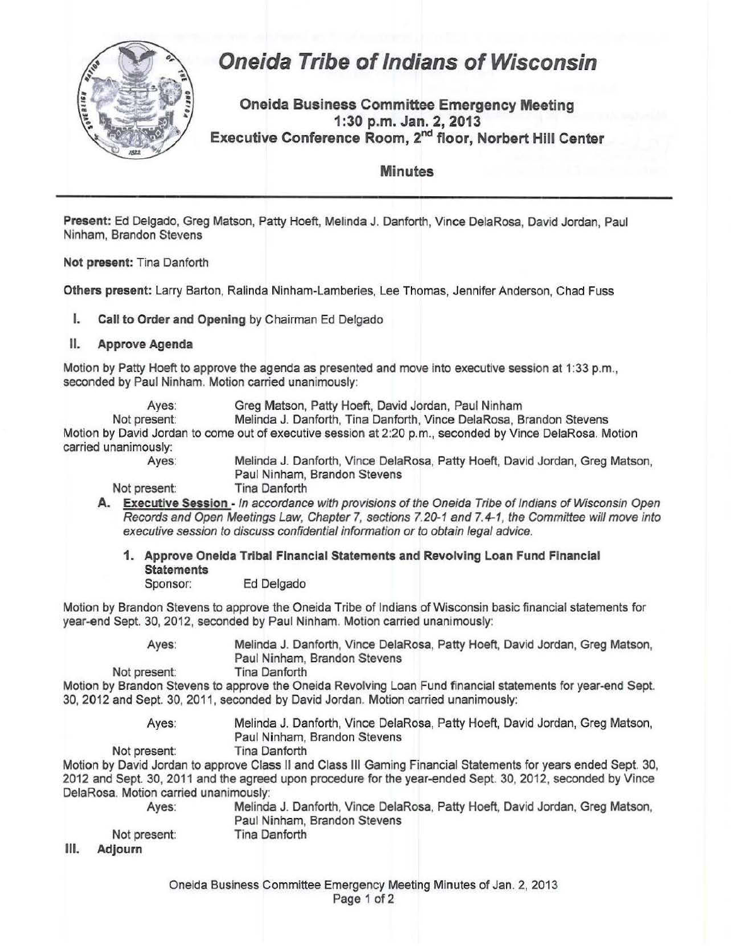

## **Oneida Tribe of Indians of Wisconsin**

**Oneida Business Committee Emergency Meeting 1:30 p.m. Jan. 2, 2013 Executive Conference Room,** 2"d **floor, Norbert Hill Center** 

**Minutes** 

**Present:** Ed Delgado, Greg Matson, Patty Hoeft, Melinda J. Danforth, Vince DelaRosa, David Jordan, Paul Ninham, Brandon Stevens

**Not present:** Tina Danforth

**Others present:** Larry Barton, Ralinda Ninham-Lamberies, Lee Thomas, Jennifer Anderson, Chad Fuss

**I. Call to Order and Opening** by Chairman Ed Delgado

## **II. Approve Agenda**

Motion by Patty Hoeft to approve the agenda as presented and move into executive session at 1:33 p.m., seconded by Paul Ninham. Motion carried unanimously:

Ayes: Greg Matson, Patty Hoeft, David Jordan, Paul Ninham

Not present: Melinda J. Danforth, Tina Danforth, Vince DelaRosa, Brandon Stevens Motion by David Jordan to come out of executive session at 2:20 p.m., seconded by Vince DelaRosa. Motion carried unanimously:

Ayes: Melinda J. Danforth, Vince DelaRosa, Patty Hoeft, David Jordan, Greg Matson, Paul Ninham, Brandon Stevens

Not present: Tina Danforth

**A. Executive Session** - In accordance with provisions of the Oneida Tribe of Indians of Wisconsin Open Records and Open Meetings Law, Chapter 7, sections 7.20-1 and 7.4-1, the Committee will move into executive session to discuss confidential information or to obtain legal advice.

**1. Approve Oneida Tribal Financial Statements and Revolving loan Fund Financial Statements**  Sponsor: Ed Delgado

Motion by Brandon Stevens to approve the Oneida Tribe of Indians of Wisconsin basic financial statements for year-end Sept. 30, 2012, seconded by Paul Ninham. Motion carried unanimously:

> Ayes: Melinda J. Danforth, Vince DelaRosa, Patty Hoeft, David Jordan, Greg Matson, Paul Ninham, Brandon Stevens

Not present: Tina Danforth

Motion by Brandon Stevens to approve the Oneida Revolving Loan Fund financial statements for year-end Sept 30, 2012 and Sept. 30, 2011, seconded by David Jordan. Motion carried unanimously:

> Ayes: Melinda J. Danforth, Vince DelaRosa, Patty Hoeft, David Jordan, Greg Matson, Paul Ninham, Brandon Stevens

Not present: Tina Danforth

Motion by David Jordan to approve Class II and Class Ill Gaming Financial Statements for years ended Sept. 30, 2012 and Sept. 30, 2011 and the agreed upon procedure for the year-ended Sept. 30, 2012, seconded by Vince DelaRosa. Motion carried unanimously:

| Aves:        | Melinda J. Danforth, Vince DelaRosa, Patty Hoeft, David Jordan, Greg Matson, |
|--------------|------------------------------------------------------------------------------|
|              | Paul Ninham, Brandon Stevens                                                 |
| Not present: | Tina Danforth                                                                |

Ill. **Adjourn**